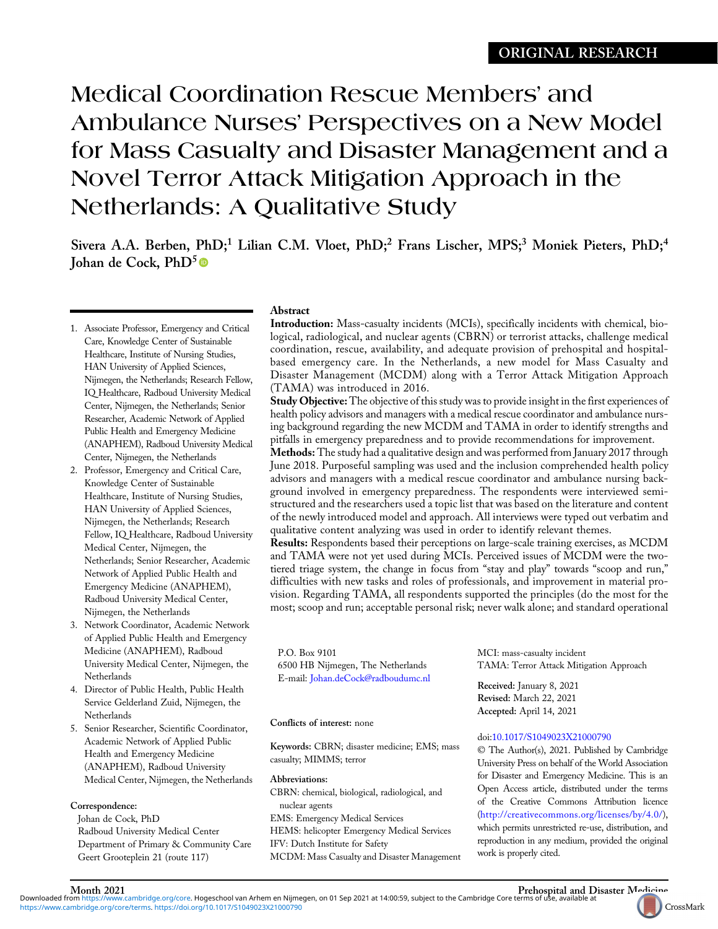# Medical Coordination Rescue Members' and Ambulance Nurses' Perspectives on a New Model for Mass Casualty and Disaster Management and a Novel Terror Attack Mitigation Approach in the Netherlands: A Qualitative Study

Sivera A.A. Berben, PhD;<sup>1</sup> Lilian C.M. Vloet, PhD;<sup>2</sup> Frans Lischer, MPS;<sup>3</sup> Moniek Pieters, PhD;<sup>4</sup> Johan de Cock,  $PhD<sup>5</sup>$ 

- 1. Associate Professor, Emergency and Critical Care, Knowledge Center of Sustainable Healthcare, Institute of Nursing Studies, HAN University of Applied Sciences, Nijmegen, the Netherlands; Research Fellow, IQ Healthcare, Radboud University Medical Center, Nijmegen, the Netherlands; Senior Researcher, Academic Network of Applied Public Health and Emergency Medicine (ANAPHEM), Radboud University Medical Center, Nijmegen, the Netherlands
- 2. Professor, Emergency and Critical Care, Knowledge Center of Sustainable Healthcare, Institute of Nursing Studies, HAN University of Applied Sciences, Nijmegen, the Netherlands; Research Fellow, IQ Healthcare, Radboud University Medical Center, Nijmegen, the Netherlands; Senior Researcher, Academic Network of Applied Public Health and Emergency Medicine (ANAPHEM), Radboud University Medical Center, Nijmegen, the Netherlands
- 3. Network Coordinator, Academic Network of Applied Public Health and Emergency Medicine (ANAPHEM), Radboud University Medical Center, Nijmegen, the Netherlands
- 4. Director of Public Health, Public Health Service Gelderland Zuid, Nijmegen, the **Netherlands**
- 5. Senior Researcher, Scientific Coordinator, Academic Network of Applied Public Health and Emergency Medicine (ANAPHEM), Radboud University Medical Center, Nijmegen, the Netherlands

# Correspondence:

Johan de Cock, PhD Radboud University Medical Center Department of Primary & Community Care Geert Grooteplein 21 (route 117)

[https://www.cambridge.org/core/terms.](https://www.cambridge.org/core/terms) <https://doi.org/10.1017/S1049023X21000790>

# Abstract

Introduction: Mass-casualty incidents (MCIs), specifically incidents with chemical, biological, radiological, and nuclear agents (CBRN) or terrorist attacks, challenge medical coordination, rescue, availability, and adequate provision of prehospital and hospitalbased emergency care. In the Netherlands, a new model for Mass Casualty and Disaster Management (MCDM) along with a Terror Attack Mitigation Approach (TAMA) was introduced in 2016.

Study Objective: The objective of this study was to provide insight in the first experiences of health policy advisors and managers with a medical rescue coordinator and ambulance nursing background regarding the new MCDM and TAMA in order to identify strengths and pitfalls in emergency preparedness and to provide recommendations for improvement.

Methods: The study had a qualitative design and was performed from January 2017 through June 2018. Purposeful sampling was used and the inclusion comprehended health policy advisors and managers with a medical rescue coordinator and ambulance nursing background involved in emergency preparedness. The respondents were interviewed semistructured and the researchers used a topic list that was based on the literature and content of the newly introduced model and approach. All interviews were typed out verbatim and qualitative content analyzing was used in order to identify relevant themes.

Results: Respondents based their perceptions on large-scale training exercises, as MCDM and TAMA were not yet used during MCIs. Perceived issues of MCDM were the twotiered triage system, the change in focus from "stay and play" towards "scoop and run," difficulties with new tasks and roles of professionals, and improvement in material provision. Regarding TAMA, all respondents supported the principles (do the most for the most; scoop and run; acceptable personal risk; never walk alone; and standard operational

P.O. Box 9101 6500 HB Nijmegen, The Netherlands E-mail: [Johan.deCock@radboudumc.nl](mailto:Johan.deCock@radboudumc.nl)

# Conflicts of interest: none

Keywords: CBRN; disaster medicine; EMS; mass casualty; MIMMS; terror

Abbreviations:

CBRN: chemical, biological, radiological, and nuclear agents EMS: Emergency Medical Services HEMS: helicopter Emergency Medical Services IFV: Dutch Institute for Safety MCDM: Mass Casualty and Disaster Management MCI: mass-casualty incident TAMA: Terror Attack Mitigation Approach

Received: January 8, 2021 Revised: March 22, 2021 Accepted: April 14, 2021

# doi:[10.1017/S1049023X21000790](https://doi.org/10.1017/S1049023X21000790)

© The Author(s), 2021. Published by Cambridge University Press on behalf of the World Association for Disaster and Emergency Medicine. This is an Open Access article, distributed under the terms of the Creative Commons Attribution licence (<http://creativecommons.org/licenses/by/4.0/>), which permits unrestricted re-use, distribution, and reproduction in any medium, provided the original work is properly cited.

Month 2021 Prehospital and Disaster [Medicine](https://crossmark.crossref.org/dialog?doi=10.1017/S1049023X21000790&domain=pdf)<br>Downloaded from [https://www.cambridge.org/core.](https://www.cambridge.org/core) Hogeschool van Arhem en Nijmegen, on 01 Sep 2021 at 14:00:59, subject to the Cambridge Core terms of use, available at

CrossMark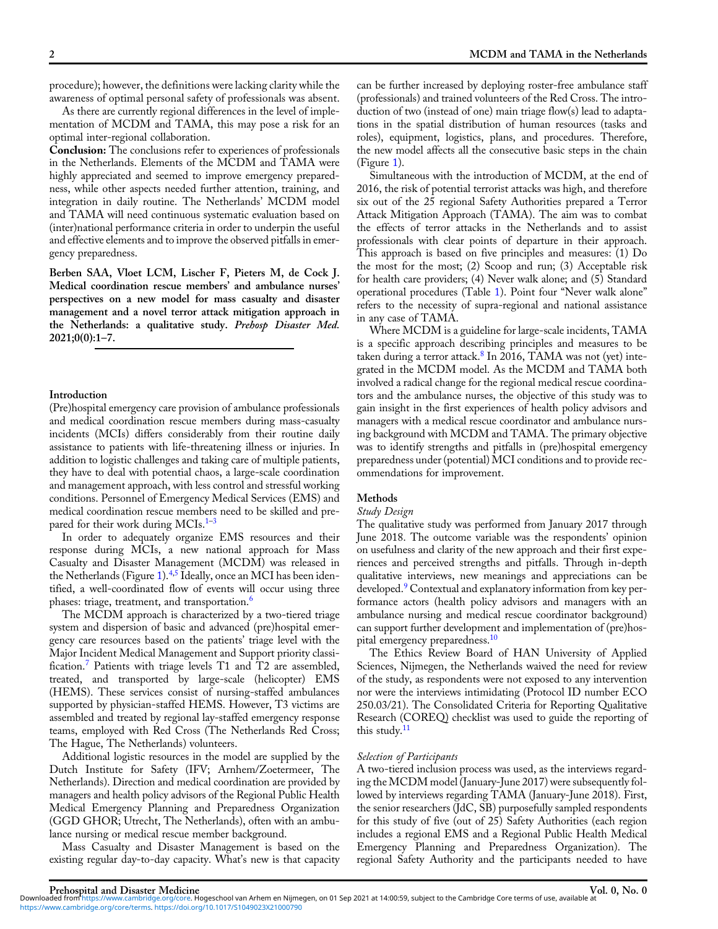procedure); however, the definitions were lacking clarity while the awareness of optimal personal safety of professionals was absent.

As there are currently regional differences in the level of implementation of MCDM and TAMA, this may pose a risk for an optimal inter-regional collaboration.

Conclusion: The conclusions refer to experiences of professionals in the Netherlands. Elements of the MCDM and TAMA were highly appreciated and seemed to improve emergency preparedness, while other aspects needed further attention, training, and integration in daily routine. The Netherlands' MCDM model and TAMA will need continuous systematic evaluation based on (inter)national performance criteria in order to underpin the useful and effective elements and to improve the observed pitfalls in emergency preparedness.

Berben SAA, Vloet LCM, Lischer F, Pieters M, de Cock J. Medical coordination rescue members' and ambulance nurses' perspectives on a new model for mass casualty and disaster management and a novel terror attack mitigation approach in the Netherlands: a qualitative study. Prehosp Disaster Med. 2021;0(0):1–7.

#### Introduction

(Pre)hospital emergency care provision of ambulance professionals and medical coordination rescue members during mass-casualty incidents (MCIs) differs considerably from their routine daily assistance to patients with life-threatening illness or injuries. In addition to logistic challenges and taking care of multiple patients, they have to deal with potential chaos, a large-scale coordination and management approach, with less control and stressful working conditions. Personnel of Emergency Medical Services (EMS) and medical coordination rescue members need to be skilled and pre-pared for their work during MCIs.<sup>1-[3](#page-6-0)</sup>

In order to adequately organize EMS resources and their response during MCIs, a new national approach for Mass Casualty and Disaster Management (MCDM) was released in the Netherlands (Figure [1](#page-2-0)).<sup>[4](#page-6-0),[5](#page-6-0)</sup> Ideally, once an MCI has been identified, a well-coordinated flow of events will occur using three phases: triage, treatment, and transportation.<sup>[6](#page-6-0)</sup>

The MCDM approach is characterized by a two-tiered triage system and dispersion of basic and advanced (pre)hospital emergency care resources based on the patients' triage level with the Major Incident Medical Management and Support priority classi-fication.<sup>[7](#page-6-0)</sup> Patients with triage levels T1 and T2 are assembled, treated, and transported by large-scale (helicopter) EMS (HEMS). These services consist of nursing-staffed ambulances supported by physician-staffed HEMS. However, T3 victims are assembled and treated by regional lay-staffed emergency response teams, employed with Red Cross (The Netherlands Red Cross; The Hague, The Netherlands) volunteers.

Additional logistic resources in the model are supplied by the Dutch Institute for Safety (IFV; Arnhem/Zoetermeer, The Netherlands). Direction and medical coordination are provided by managers and health policy advisors of the Regional Public Health Medical Emergency Planning and Preparedness Organization (GGD GHOR; Utrecht, The Netherlands), often with an ambulance nursing or medical rescue member background.

Mass Casualty and Disaster Management is based on the existing regular day-to-day capacity. What's new is that capacity

can be further increased by deploying roster-free ambulance staff (professionals) and trained volunteers of the Red Cross. The introduction of two (instead of one) main triage flow(s) lead to adaptations in the spatial distribution of human resources (tasks and roles), equipment, logistics, plans, and procedures. Therefore, the new model affects all the consecutive basic steps in the chain (Figure [1\)](#page-2-0).

Simultaneous with the introduction of MCDM, at the end of 2016, the risk of potential terrorist attacks was high, and therefore six out of the 25 regional Safety Authorities prepared a Terror Attack Mitigation Approach (TAMA). The aim was to combat the effects of terror attacks in the Netherlands and to assist professionals with clear points of departure in their approach. This approach is based on five principles and measures: (1) Do the most for the most; (2) Scoop and run; (3) Acceptable risk for health care providers; (4) Never walk alone; and (5) Standard operational procedures (Table 1). Point four "Never walk alone" refers to the necessity of supra-regional and national assistance in any case of TAMA.

Where MCDM is a guideline for large-scale incidents, TAMA is a specific approach describing principles and measures to be taken during a terror attack. $8 \text{ In } 2016$  $8 \text{ In } 2016$ , TAMA was not (yet) integrated in the MCDM model. As the MCDM and TAMA both involved a radical change for the regional medical rescue coordinators and the ambulance nurses, the objective of this study was to gain insight in the first experiences of health policy advisors and managers with a medical rescue coordinator and ambulance nursing background with MCDM and TAMA. The primary objective was to identify strengths and pitfalls in (pre)hospital emergency preparedness under (potential) MCI conditions and to provide recommendations for improvement.

# Methods

# Study Design

The qualitative study was performed from January 2017 through June 2018. The outcome variable was the respondents' opinion on usefulness and clarity of the new approach and their first experiences and perceived strengths and pitfalls. Through in-depth qualitative interviews, new meanings and appreciations can be developed.<sup>[9](#page-6-0)</sup> Contextual and explanatory information from key performance actors (health policy advisors and managers with an ambulance nursing and medical rescue coordinator background) can support further development and implementation of (pre)hos-pital emergency preparedness.<sup>[10](#page-6-0)</sup>

The Ethics Review Board of HAN University of Applied Sciences, Nijmegen, the Netherlands waived the need for review of the study, as respondents were not exposed to any intervention nor were the interviews intimidating (Protocol ID number ECO 250.03/21). The Consolidated Criteria for Reporting Qualitative Research (COREQ) checklist was used to guide the reporting of this study. $^{11}$  $^{11}$  $^{11}$ 

### Selection of Participants

A two-tiered inclusion process was used, as the interviews regarding the MCDM model (January-June 2017) were subsequently followed by interviews regarding TAMA (January-June 2018). First, the senior researchers (JdC, SB) purposefully sampled respondents for this study of five (out of 25) Safety Authorities (each region includes a regional EMS and a Regional Public Health Medical Emergency Planning and Preparedness Organization). The regional Safety Authority and the participants needed to have

[https://www.cambridge.org/core/terms.](https://www.cambridge.org/core/terms) <https://doi.org/10.1017/S1049023X21000790>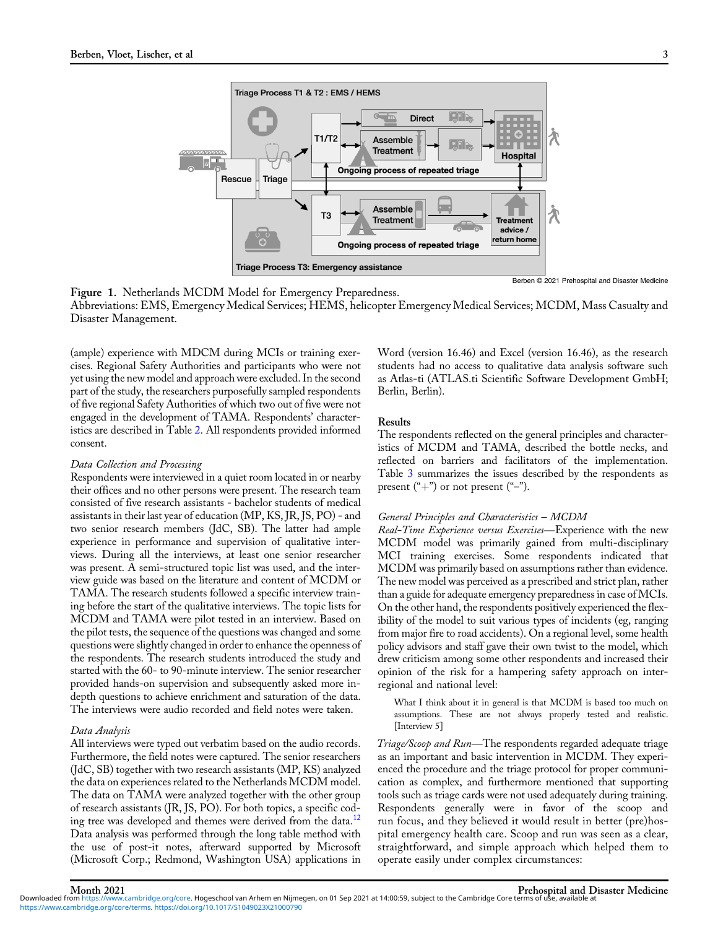<span id="page-2-0"></span>

Berben © 2021 Prehospital and Disaster Medicine

Figure 1. Netherlands MCDM Model for Emergency Preparedness.

Abbreviations: EMS, Emergency Medical Services; HEMS, helicopter Emergency Medical Services; MCDM, Mass Casualty and Disaster Management.

(ample) experience with MDCM during MCIs or training exercises. Regional Safety Authorities and participants who were not yet using the new model and approach were excluded. In the second part of the study, the researchers purposefully sampled respondents of five regional Safety Authorities of which two out of five were not engaged in the development of TAMA. Respondents' characteristics are described in Table 2. All respondents provided informed consent.

# Data Collection and Processing

Respondents were interviewed in a quiet room located in or nearby their offices and no other persons were present. The research team consisted of five research assistants - bachelor students of medical assistants in their last year of education (MP, KS, JR, JS, PO) - and two senior research members (JdC, SB). The latter had ample experience in performance and supervision of qualitative interviews. During all the interviews, at least one senior researcher was present. A semi-structured topic list was used, and the interview guide was based on the literature and content of MCDM or TAMA. The research students followed a specific interview training before the start of the qualitative interviews. The topic lists for MCDM and TAMA were pilot tested in an interview. Based on the pilot tests, the sequence of the questions was changed and some questions were slightly changed in order to enhance the openness of the respondents. The research students introduced the study and started with the 60- to 90-minute interview. The senior researcher provided hands-on supervision and subsequently asked more indepth questions to achieve enrichment and saturation of the data. The interviews were audio recorded and field notes were taken.

# Data Analysis

All interviews were typed out verbatim based on the audio records. Furthermore, the field notes were captured. The senior researchers (JdC, SB) together with two research assistants (MP, KS) analyzed the data on experiences related to the Netherlands MCDM model. The data on TAMA were analyzed together with the other group of research assistants (JR, JS, PO). For both topics, a specific cod-ing tree was developed and themes were derived from the data.<sup>[12](#page-6-0)</sup> Data analysis was performed through the long table method with the use of post-it notes, afterward supported by Microsoft (Microsoft Corp.; Redmond, Washington USA) applications in

Word (version 16.46) and Excel (version 16.46), as the research students had no access to qualitative data analysis software such as Atlas-ti (ATLAS.ti Scientific Software Development GmbH; Berlin, Berlin).

#### Results

The respondents reflected on the general principles and characteristics of MCDM and TAMA, described the bottle necks, and reflected on barriers and facilitators of the implementation. Table 3 summarizes the issues described by the respondents as present  $("+")$  or not present  $("-")$ .

#### General Principles and Characteristics – MCDM

Real-Time Experience versus Exercises-Experience with the new MCDM model was primarily gained from multi-disciplinary MCI training exercises. Some respondents indicated that MCDM was primarily based on assumptions rather than evidence. The new model was perceived as a prescribed and strict plan, rather than a guide for adequate emergency preparedness in case of MCIs. On the other hand, the respondents positively experienced the flexibility of the model to suit various types of incidents (eg, ranging from major fire to road accidents). On a regional level, some health policy advisors and staff gave their own twist to the model, which drew criticism among some other respondents and increased their opinion of the risk for a hampering safety approach on interregional and national level:

What I think about it in general is that MCDM is based too much on assumptions. These are not always properly tested and realistic. [Interview 5]

Triage/Scoop and Run—The respondents regarded adequate triage as an important and basic intervention in MCDM. They experienced the procedure and the triage protocol for proper communication as complex, and furthermore mentioned that supporting tools such as triage cards were not used adequately during training. Respondents generally were in favor of the scoop and run focus, and they believed it would result in better (pre)hospital emergency health care. Scoop and run was seen as a clear, straightforward, and simple approach which helped them to operate easily under complex circumstances:

Month 2021 Prehospital and Disaster Medicine<br>Downloaded from [https://www.cambridge.org/core.](https://www.cambridge.org/core) Hogeschool van Arhem en Nijmegen, on 01 Sep 2021 at 14:00:59, subject to the Cambridge Core terms of use, available at [https://www.cambridge.org/core/terms.](https://www.cambridge.org/core/terms) <https://doi.org/10.1017/S1049023X21000790>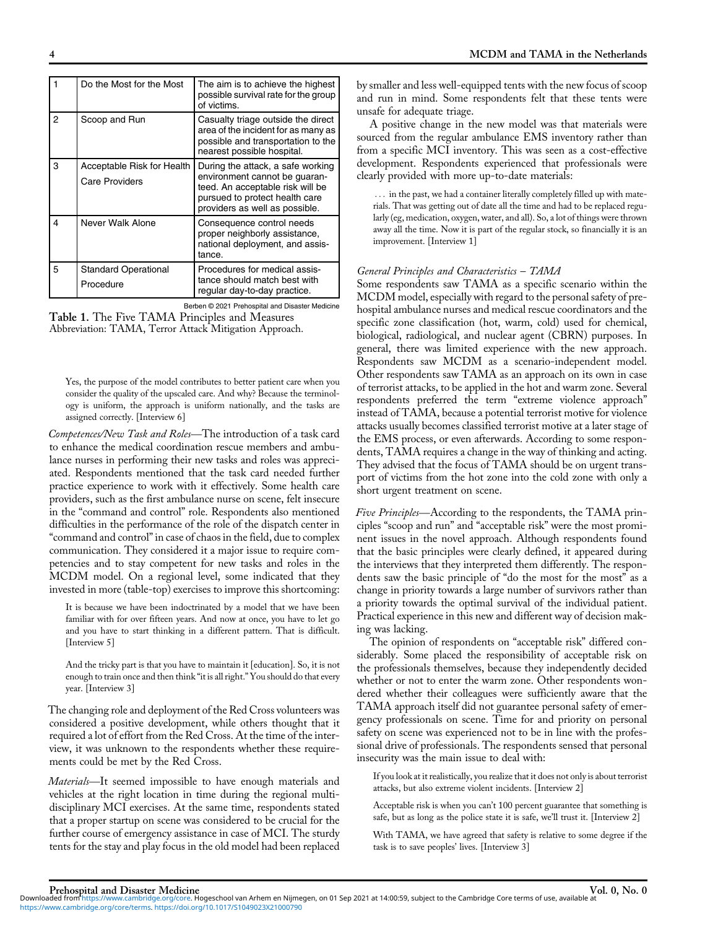|   | Do the Most for the Most                            | The aim is to achieve the highest<br>possible survival rate for the group<br>of victims.                                                                                   |
|---|-----------------------------------------------------|----------------------------------------------------------------------------------------------------------------------------------------------------------------------------|
| 2 | Scoop and Run                                       | Casualty triage outside the direct<br>area of the incident for as many as<br>possible and transportation to the<br>nearest possible hospital.                              |
| 3 | Acceptable Risk for Health<br><b>Care Providers</b> | During the attack, a safe working<br>environment cannot be guaran-<br>teed. An acceptable risk will be<br>pursued to protect health care<br>providers as well as possible. |
| 4 | Never Walk Alone                                    | Consequence control needs<br>proper neighborly assistance,<br>national deployment, and assis-<br>tance.                                                                    |
| 5 | <b>Standard Operational</b><br>Procedure            | Procedures for medical assis-<br>tance should match best with<br>regular day-to-day practice.                                                                              |

|                                                | Berben © 2021 Prehospital and Disaster Medicine        |
|------------------------------------------------|--------------------------------------------------------|
| Table 1. The Five TAMA Principles and Measures |                                                        |
|                                                | Abbreviation: TAMA, Terror Attack Mitigation Approach. |

Yes, the purpose of the model contributes to better patient care when you Tes, the purpose of the induct contributes to better patient care when you consider the quality of the upscaled care. And why? Because the terminology is uniform, the approach is uniform nationally, and the tasks are assig ogy is uniform, the approach is uniform nationally, and the tasks are assigned correctly. [Interview 6]

to enhance the medical coordination rescue members and ambulance nurses in performing their new tasks and roles was appreciated. Respondents mentioned that the task card needed further practice experience to work with it effectively. Some health care providers, such as the first ambulance nurse on scene, felt insecure in the "command and control" role. Respondents also mentioned difficulties in the performance of the role of the dispatch center in "command and control"in case of chaos in the field, due to complex communication. They considered it a major issue to require competencies and to stay competent for new tasks and roles in the MCDM model. On a regional level, some indicated that they invested in more (table-top) exercises to improve this shortcoming:

It is because we have been indoctrinated by a model that we have been familiar with for over fifteen years. And now at once, you have to let go and you have to start thinking in a different pattern. That is difficult. [Interview 5]

And the tricky part is that you have to maintain it [education]. So, it is not enough to train once and then think "it is all right." You should do that every year. [Interview 3]

The changing role and deployment of the Red Cross volunteers was considered a positive development, while others thought that it required a lot of effort from the Red Cross. At the time of the interview, it was unknown to the respondents whether these requirements could be met by the Red Cross. required a lot of effort from the Red Cross. At the time of the interview, it was unknown to the respondents whether these requirements could be met by the Red Cross.<br>Materials—It seemed impossible to have enough materials

vehicles at the right location in time during the regional multidisciplinary MCI exercises. At the same time, respondents stated that a proper startup on scene was considered to be crucial for the further course of emergency assistance in case of MCI. The sturdy tents for the stay and play focus in the old model had been replaced by smaller and less well-equipped tents with the new focus of scoop and run in mind. Some respondents felt that these tents were unsafe for adequate triage.

A positive change in the new model was that materials were sourced from the regular ambulance EMS inventory rather than from a specific MCI inventory. This was seen as a cost-effective development. Respondents experienced that professionals were clearly provided with more up-to-date materials:

... in the past, we had a container literally completely filled up with materials. That was getting out of date all the time and had to be replaced regularly (eg, medication, oxygen, water, and all). So, a lot of things were thrown away all the time. Now it is part of the regular stock, so financially it is an improvement. [Interview 1]

# General Principles and Characteristics – TAMA

Some respondents saw TAMA as a specific scenario within the MCDM model, especially with regard to the personal safety of prehospital ambulance nurses and medical rescue coordinators and the specific zone classification (hot, warm, cold) used for chemical, biological, radiological, and nuclear agent (CBRN) purposes. In general, there was limited experience with the new approach. Respondents saw MCDM as a scenario-independent model. Other respondents saw TAMA as an approach on its own in case of terrorist attacks, to be applied in the hot and warm zone. Several respondents preferred the term "extreme violence approach" instead of TAMA, because a potential terrorist motive for violence attacks usually becomes classified terrorist motive at a later stage of the EMS process, or even afterwards. According to some respondents, TAMA requires a change in the way of thinking and acting. They advised that the focus of TAMA should be on urgent transport of victims from the hot zone into the cold zone with only a short urgent treatment on scene. They advised that the focus of TAMA should be on urgent transport of victims from the hot zone into the cold zone with only a short urgent treatment on scene.<br>Five Principles—According to the respondents, the TAMA prin-

ciples "scoop and run" and "acceptable risk" were the most prominent issues in the novel approach. Although respondents found that the basic principles were clearly defined, it appeared during the interviews that they interpreted them differently. The respondents saw the basic principle of "do the most for the most" as a change in priority towards a large number of survivors rather than a priority towards the optimal survival of the individual patient. Practical experience in this new and different way of decision making was lacking.

The opinion of respondents on "acceptable risk" differed considerably. Some placed the responsibility of acceptable risk on the professionals themselves, because they independently decided whether or not to enter the warm zone. Other respondents wondered whether their colleagues were sufficiently aware that the TAMA approach itself did not guarantee personal safety of emergency professionals on scene. Time for and priority on personal safety on scene was experienced not to be in line with the professional drive of professionals. The respondents sensed that personal insecurity was the main issue to deal with:

If you look at it realistically, you realize that it does not only is about terrorist attacks, but also extreme violent incidents. [Interview 2]

Acceptable risk is when you can't 100 percent guarantee that something is safe, but as long as the police state it is safe, we'll trust it. [Interview 2]

With TAMA, we have agreed that safety is relative to some degree if the task is to save peoples' lives. [Interview 3]

Prehospital and Disaster Medicine<br>Downloaded from [https://www.cambridge.org/core.](https://www.cambridge.org/core) Hogeschool van Arhem en Nijmegen, on 01 Sep 2021 at 14:00:59, subject to the Cambridge Core terms of use, available at [https://www.cambridge.org/core/terms.](https://www.cambridge.org/core/terms) <https://doi.org/10.1017/S1049023X21000790>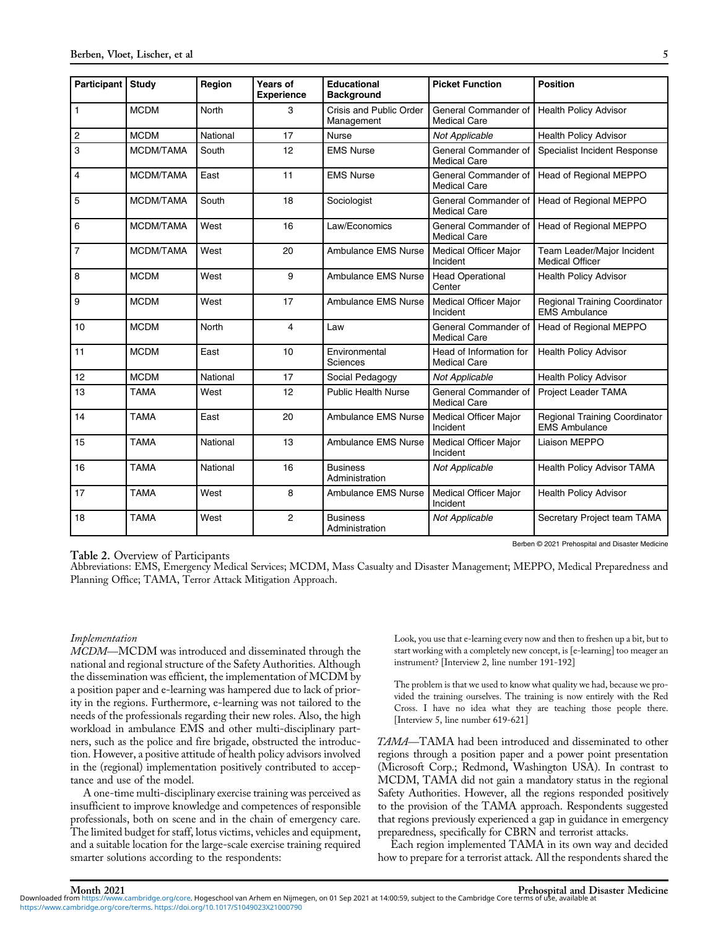| <b>Participant</b> | Study       | Region   | Years of<br><b>Experience</b> | <b>Educational</b><br><b>Background</b> | <b>Picket Function</b>                         | <b>Position</b>                                              |
|--------------------|-------------|----------|-------------------------------|-----------------------------------------|------------------------------------------------|--------------------------------------------------------------|
| $\mathbf{1}$       | <b>MCDM</b> | North    | 3                             | Crisis and Public Order<br>Management   | General Commander of<br><b>Medical Care</b>    | <b>Health Policy Advisor</b>                                 |
| $\boldsymbol{2}$   | <b>MCDM</b> | National | 17                            | <b>Nurse</b>                            | Not Applicable                                 | <b>Health Policy Advisor</b>                                 |
| 3                  | MCDM/TAMA   | South    | 12                            | <b>EMS Nurse</b>                        | General Commander of<br><b>Medical Care</b>    | Specialist Incident Response                                 |
| 4                  | MCDM/TAMA   | East     | 11                            | <b>EMS Nurse</b>                        | General Commander of<br><b>Medical Care</b>    | <b>Head of Regional MEPPO</b>                                |
| 5                  | MCDM/TAMA   | South    | 18                            | Sociologist                             | General Commander of<br><b>Medical Care</b>    | <b>Head of Regional MEPPO</b>                                |
| 6                  | MCDM/TAMA   | West     | 16                            | Law/Economics                           | General Commander of<br><b>Medical Care</b>    | Head of Regional MEPPO                                       |
| $\overline{7}$     | MCDM/TAMA   | West     | 20                            | <b>Ambulance EMS Nurse</b>              | <b>Medical Officer Major</b><br>Incident       | Team Leader/Major Incident<br><b>Medical Officer</b>         |
| 8                  | <b>MCDM</b> | West     | 9                             | <b>Ambulance EMS Nurse</b>              | <b>Head Operational</b><br>Center              | <b>Health Policy Advisor</b>                                 |
| 9                  | <b>MCDM</b> | West     | 17                            | <b>Ambulance EMS Nurse</b>              | Medical Officer Major<br>Incident              | <b>Regional Training Coordinator</b><br><b>EMS Ambulance</b> |
| 10                 | <b>MCDM</b> | North    | $\overline{4}$                | Law                                     | General Commander of<br><b>Medical Care</b>    | Head of Regional MEPPO                                       |
| 11                 | <b>MCDM</b> | East     | 10                            | Environmental<br>Sciences               | Head of Information for<br><b>Medical Care</b> | <b>Health Policy Advisor</b>                                 |
| 12                 | <b>MCDM</b> | National | 17                            | Social Pedagogy                         | Not Applicable                                 | <b>Health Policy Advisor</b>                                 |
| 13                 | TAMA        | West     | 12                            | <b>Public Health Nurse</b>              | General Commander of<br><b>Medical Care</b>    | Project Leader TAMA                                          |
| 14                 | <b>TAMA</b> | East     | 20                            | <b>Ambulance EMS Nurse</b>              | Medical Officer Major<br>Incident              | <b>Regional Training Coordinator</b><br><b>EMS Ambulance</b> |
| 15                 | <b>TAMA</b> | National | 13                            | <b>Ambulance EMS Nurse</b>              | Medical Officer Major<br>Incident              | Liaison MEPPO                                                |
| 16                 | <b>TAMA</b> | National | 16                            | <b>Business</b><br>Administration       | Not Applicable                                 | <b>Health Policy Advisor TAMA</b>                            |
| 17                 | <b>TAMA</b> | West     | 8                             | <b>Ambulance EMS Nurse</b>              | Medical Officer Major<br>Incident              | <b>Health Policy Advisor</b>                                 |
| 18                 | <b>TAMA</b> | West     | 2                             | <b>Business</b><br>Administration       | Not Applicable                                 | Secretary Project team TAMA                                  |

Berben © 2021 Prehospital and Disaster Medicine

Table 2. Overview of Participants<br>Abbreviations: EMS, Emergency Medical Services; MCDM, Mass Casualty and Disaster Management; MEPPO, Medical Preparedness and Planning Office; TAMA, Terror Attack Mitigation Approach.

# Implementation

MCDM—MCDM was introduced and disseminated through the national and regional structure of the Safety Authorities. Although the dissemination was efficient, the implementation of MCDM by a position paper and e-learning was hampered due to lack of priority in the regions. Furthermore, e-learning was not tailored to the needs of the professionals regarding their new roles. Also, the high workload in ambulance EMS and other multi-disciplinary partners, such as the police and fire brigade, obstructed the introduction. However, a positive attitude of health policy advisors involved in the (regional) implementation positively contributed to acceptance and use of the model.

A one-time multi-disciplinary exercise training was perceived as insufficient to improve knowledge and competences of responsible professionals, both on scene and in the chain of emergency care. The limited budget for staff, lotus victims, vehicles and equipment, and a suitable location for the large-scale exercise training required smarter solutions according to the respondents:

Look, you use that e-learning every now and then to freshen up a bit, but to start working with a completely new concept, is [e-learning] too meager an instrument? [Interview 2, line number 191-192]

The problem is that we used to know what quality we had, because we provided the training ourselves. The training is now entirely with the Red Cross. I have no idea what they are teaching those people there. [Interview 5, line number 619-621]

TAMA—TAMA had been introduced and disseminated to other regions through a position paper and a power point presentation (Microsoft Corp.; Redmond, Washington USA). In contrast to MCDM, TAMA did not gain a mandatory status in the regional Safety Authorities. However, all the regions responded positively to the provision of the TAMA approach. Respondents suggested that regions previously experienced a gap in guidance in emergency preparedness, specifically for CBRN and terrorist attacks.

Each region implemented TAMA in its own way and decided how to prepare for a terrorist attack. All the respondents shared the

Month 2021 Prehospital and Disaster Medicine<br>Downloaded from [https://www.cambridge.org/core.](https://www.cambridge.org/core) Hogeschool van Arhem en Nijmegen, on 01 Sep 2021 at 14:00:59, subject to the Cambridge Core terms of use, available at [https://www.cambridge.org/core/terms.](https://www.cambridge.org/core/terms) <https://doi.org/10.1017/S1049023X21000790>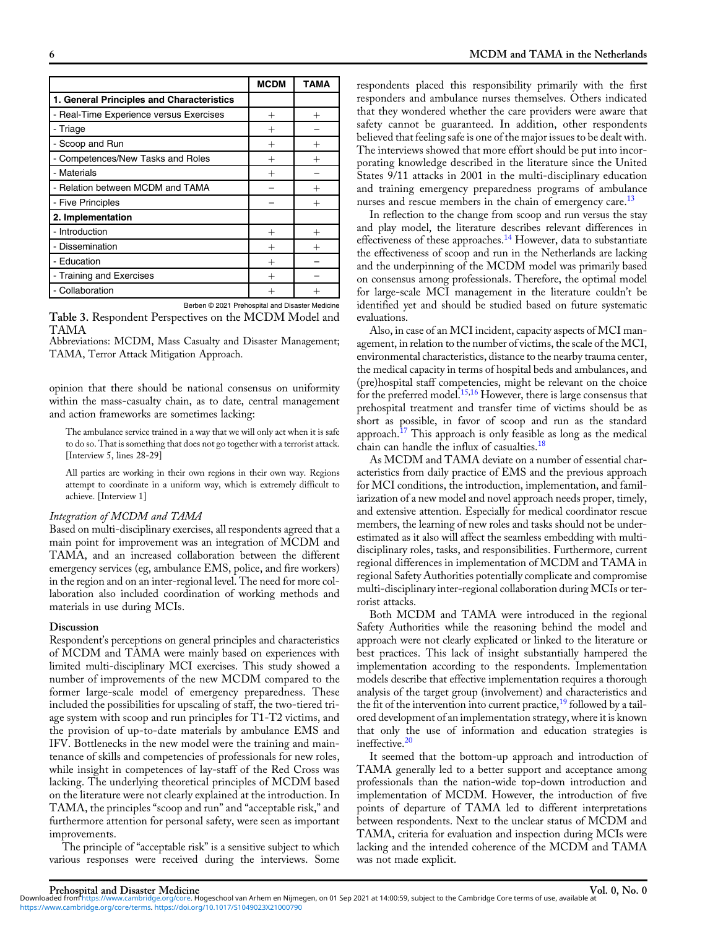|                                           | <b>MCDM</b>        | <b>TAMA</b> |
|-------------------------------------------|--------------------|-------------|
| 1. General Principles and Characteristics |                    |             |
| - Real-Time Experience versus Exercises   | $^{+}$             | $^{+}$      |
| - Triage                                  | $^{+}$             |             |
| - Scoop and Run                           | $^{+}$             | $^{+}$      |
| - Competences/New Tasks and Roles         | $^+$               | $^+$        |
| - Materials                               | $\hspace{0.1mm} +$ |             |
| - Relation between MCDM and TAMA          |                    |             |
| - Five Principles                         |                    | $^{+}$      |
| 2. Implementation                         |                    |             |
| - Introduction                            | $^{+}$             | $^{+}$      |
| - Dissemination                           | $^{+}$             | $^{+}$      |
| - Education                               | $^{+}$             |             |
| - Training and Exercises                  | $^{+}$             |             |
| - Collaboration                           |                    |             |

Berben © 2021 Prehospital and Disaster Medicine Table 3. Respondent Perspectives on the MCDM Model and TAMA

Abbreviations: MCDM, Mass Casualty and Disaster Management; TAMA, Terror Attack Mitigation Approach.

opinion that there should be national consensus on uniformity within the mass-casualty chain, as to date, central management and action frameworks are sometimes lacking:

The ambulance service trained in a way that we will only act when it is safe to do so. That is something that does not go together with a terrorist attack. [Interview 5, lines 28-29]

All parties are working in their own regions in their own way. Regions attempt to coordinate in a uniform way, which is extremely difficult to achieve. [Interview 1]

# Integration of MCDM and TAMA

Based on multi-disciplinary exercises, all respondents agreed that a main point for improvement was an integration of MCDM and TAMA, and an increased collaboration between the different emergency services (eg, ambulance EMS, police, and fire workers) in the region and on an inter-regional level. The need for more collaboration also included coordination of working methods and materials in use during MCIs.

# **Discussion**

Respondent's perceptions on general principles and characteristics of MCDM and TAMA were mainly based on experiences with limited multi-disciplinary MCI exercises. This study showed a number of improvements of the new MCDM compared to the former large-scale model of emergency preparedness. These included the possibilities for upscaling of staff, the two-tiered triage system with scoop and run principles for T1-T2 victims, and the provision of up-to-date materials by ambulance EMS and IFV. Bottlenecks in the new model were the training and maintenance of skills and competencies of professionals for new roles, while insight in competences of lay-staff of the Red Cross was lacking. The underlying theoretical principles of MCDM based on the literature were not clearly explained at the introduction. In TAMA, the principles "scoop and run" and "acceptable risk," and furthermore attention for personal safety, were seen as important improvements.

The principle of "acceptable risk" is a sensitive subject to which various responses were received during the interviews. Some respondents placed this responsibility primarily with the first responders and ambulance nurses themselves. Others indicated that they wondered whether the care providers were aware that safety cannot be guaranteed. In addition, other respondents believed that feeling safe is one of the major issues to be dealt with. The interviews showed that more effort should be put into incorporating knowledge described in the literature since the United States 9/11 attacks in 2001 in the multi-disciplinary education and training emergency preparedness programs of ambulance nurses and rescue members in the chain of emergency care.<sup>[13](#page-6-0)</sup>

In reflection to the change from scoop and run versus the stay and play model, the literature describes relevant differences in effectiveness of these approaches.[14](#page-6-0) However, data to substantiate the effectiveness of scoop and run in the Netherlands are lacking and the underpinning of the MCDM model was primarily based on consensus among professionals. Therefore, the optimal model for large-scale MCI management in the literature couldn't be identified yet and should be studied based on future systematic evaluations.

Also, in case of an MCI incident, capacity aspects of MCI management, in relation to the number of victims, the scale of the MCI, environmental characteristics, distance to the nearby trauma center, the medical capacity in terms of hospital beds and ambulances, and (pre)hospital staff competencies, might be relevant on the choice for the preferred model.<sup>[15,16](#page-6-0)</sup> However, there is large consensus that prehospital treatment and transfer time of victims should be as short as possible, in favor of scoop and run as the standard approach.[17](#page-6-0) This approach is only feasible as long as the medical chain can handle the influx of casualties.<sup>[18](#page-6-0)</sup>

As MCDM and TAMA deviate on a number of essential characteristics from daily practice of EMS and the previous approach for MCI conditions, the introduction, implementation, and familiarization of a new model and novel approach needs proper, timely, and extensive attention. Especially for medical coordinator rescue members, the learning of new roles and tasks should not be underestimated as it also will affect the seamless embedding with multidisciplinary roles, tasks, and responsibilities. Furthermore, current regional differences in implementation of MCDM and TAMA in regional Safety Authorities potentially complicate and compromise multi-disciplinary inter-regional collaboration during MCIs or terrorist attacks.

Both MCDM and TAMA were introduced in the regional Safety Authorities while the reasoning behind the model and approach were not clearly explicated or linked to the literature or best practices. This lack of insight substantially hampered the implementation according to the respondents. Implementation models describe that effective implementation requires a thorough analysis of the target group (involvement) and characteristics and the fit of the intervention into current practice,  $19$  followed by a tailored development of an implementation strategy, where it is known that only the use of information and education strategies is ineffective.<sup>[20](#page-6-0)</sup>

It seemed that the bottom-up approach and introduction of TAMA generally led to a better support and acceptance among professionals than the nation-wide top-down introduction and implementation of MCDM. However, the introduction of five points of departure of TAMA led to different interpretations between respondents. Next to the unclear status of MCDM and TAMA, criteria for evaluation and inspection during MCIs were lacking and the intended coherence of the MCDM and TAMA was not made explicit.